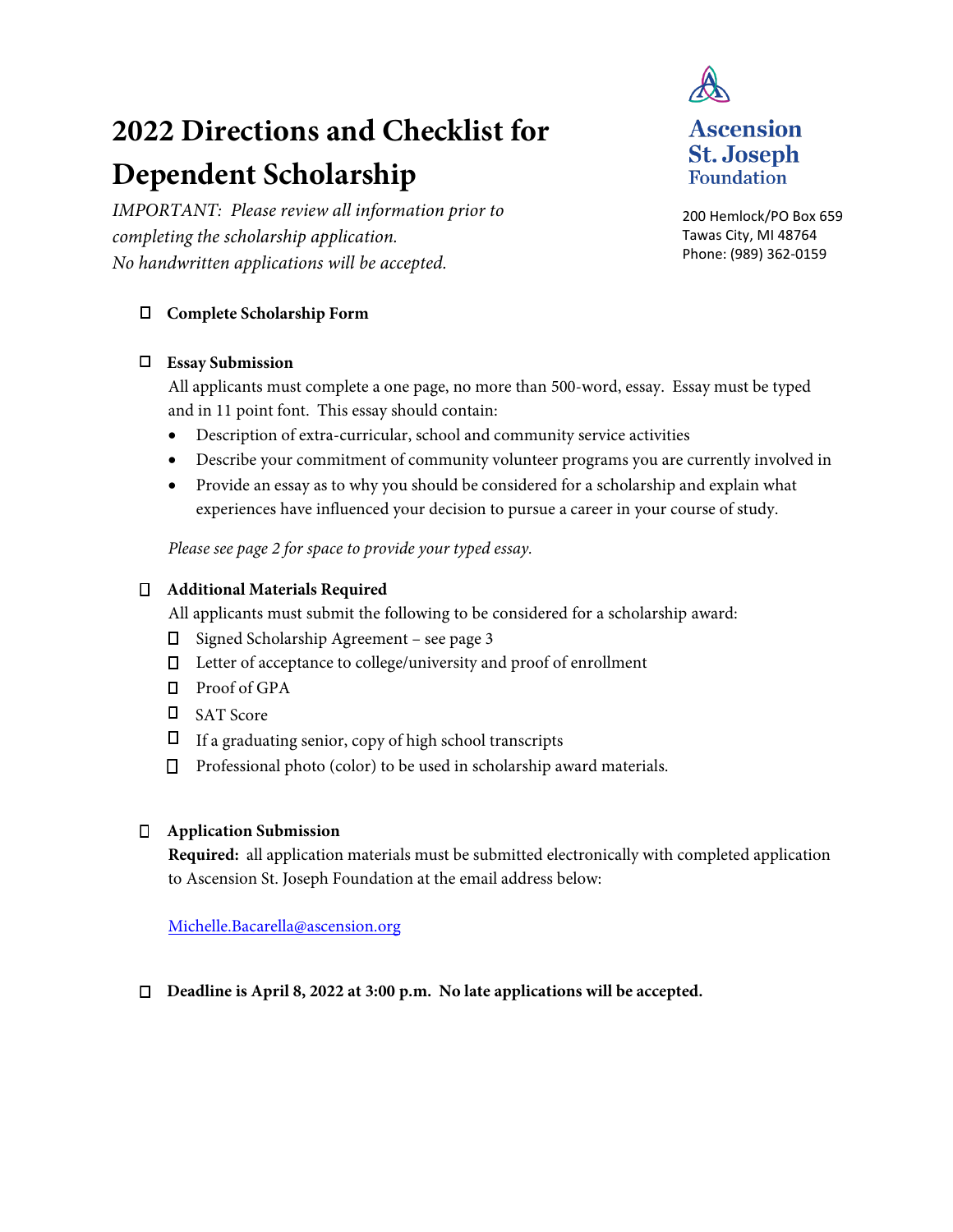# **2022 Directions and Checklist for Dependent Scholarship**

*IMPORTANT: Please review all information prior to completing the scholarship application. No handwritten applications will be accepted.* 

# **Complete Scholarship Form**

## **Essay Submission**

All applicants must complete a one page, no more than 500-word, essay. Essay must be typed and in 11 point font. This essay should contain:

- Description of extra-curricular, school and community service activities
- Describe your commitment of community volunteer programs you are currently involved in
- Provide an essay as to why you should be considered for a scholarship and explain what experiences have influenced your decision to pursue a career in your course of study.

*Please see page 2 for space to provide your typed essay.* 

## **Additional Materials Required**

All applicants must submit the following to be considered for a scholarship award:

- $\Box$  Signed Scholarship Agreement see page 3
- Letter of acceptance to college/university and proof of enrollment
- Proof of GPA
- SAT Score
- $\Box$  If a graduating senior, copy of high school transcripts
- □ Professional photo (color) to be used in scholarship award materials.

#### **Application Submission**

**Required:** all application materials must be submitted electronically with completed application to Ascension St. Joseph Foundation at the email address below:

Michelle.Bacarella@ascension.org

#### **Deadline is April 8, 2022 at 3:00 p.m. No late applications will be accepted.**



**Foundation** 

200 Hemlock/PO Box 659 Tawas City, MI 48764 Phone: (989) 362-0159